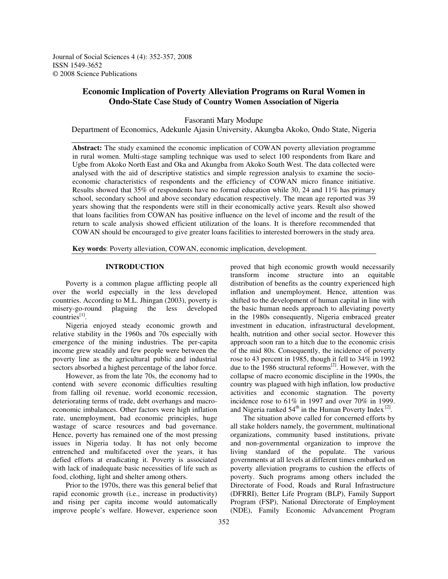Journal of Social Sciences 4 (4): 352-357, 2008 ISSN 1549-3652 © 2008 Science Publications

# **Economic Implication of Poverty Alleviation Programs on Rural Women in Ondo-State Case Study of Country Women Association of Nigeria**

Fasoranti Mary Modupe

Department of Economics, Adekunle Ajasin University, Akungba Akoko, Ondo State, Nigeria

**Abstract:** The study examined the economic implication of COWAN poverty alleviation programme in rural women. Multi-stage sampling technique was used to select 100 respondents from Ikare and Ugbe from Akoko North East and Oka and Akungba from Akoko South West. The data collected were analysed with the aid of descriptive statistics and simple regression analysis to examine the socioeconomic characteristics of respondents and the efficiency of COWAN micro finance initiative. Results showed that 35% of respondents have no formal education while 30, 24 and 11% has primary school, secondary school and above secondary education respectively. The mean age reported was 39 years showing that the respondents were still in their economically active years. Result also showed that loans facilities from COWAN has positive influence on the level of income and the result of the return to scale analysis showed efficient utilization of the loans. It is therefore recommended that COWAN should be encouraged to give greater loans facilities to interested borrowers in the study area.

**Key words**: Poverty alleviation, COWAN, economic implication, development.

#### **INTRODUCTION**

Poverty is a common plague afflicting people all over the world especially in the less developed countries. According to M.L. Jhingan (2003), poverty is misery-go-round plaguing the less developed countries<sup>[1]</sup>.

Nigeria enjoyed steady economic growth and relative stability in the 1960s and 70s especially with emergence of the mining industries. The per-capita income grew steadily and few people were between the poverty line as the agricultural public and industrial sectors absorbed a highest percentage of the labor force.

However, as from the late 70s, the economy had to contend with severe economic difficulties resulting from falling oil revenue, world economic recession, deteriorating terms of trade, debt overhangs and macroeconomic imbalances. Other factors were high inflation rate, unemployment, bad economic principles, huge wastage of scarce resources and bad governance. Hence, poverty has remained one of the most pressing issues in Nigeria today. It has not only become entrenched and multifaceted over the years, it has defied efforts at eradicating it. Poverty is associated with lack of inadequate basic necessities of life such as food, clothing, light and shelter among others.

Prior to the 1970s, there was this general belief that rapid economic growth (i.e., increase in productivity) and rising per capita income would automatically improve people's welfare. However, experience soon

proved that high economic growth would necessarily transform income structure into an equitable distribution of benefits as the country experienced high inflation and unemployment. Hence, attention was shifted to the development of human capital in line with the basic human needs approach to alleviating poverty in the 1980s consequently, Nigeria embraced greater investment in education, infrastructural development, health, nutrition and other social sector. However this approach soon ran to a hitch due to the economic crisis of the mid 80s. Consequently, the incidence of poverty rose to 43 percent in 1985, though it fell to 34% in 1992 due to the 1986 structural reforms<sup>[2]</sup>. However, with the collapse of macro economic discipline in the 1990s, the country was plagued with high inflation, low productive activities and economic stagnation. The poverty incidence rose to 61% in 1997 and over 70% in 1999. and Nigeria ranked  $54<sup>th</sup>$  in the Human Poverty Index  $^{[2]}$ .

The situation above called for concerned efforts by all stake holders namely, the government, multinational organizations, community based institutions, private and non-governmental organization to improve the living standard of the populate. The various governments at all levels at different times embarked on poverty alleviation programs to cushion the effects of poverty. Such programs among others included the Directorate of Food, Roads and Rural Infrastructure (DFRRI), Better Life Program (BLP), Family Support Program (FSP), National Directorate of Employment (NDE), Family Economic Advancement Program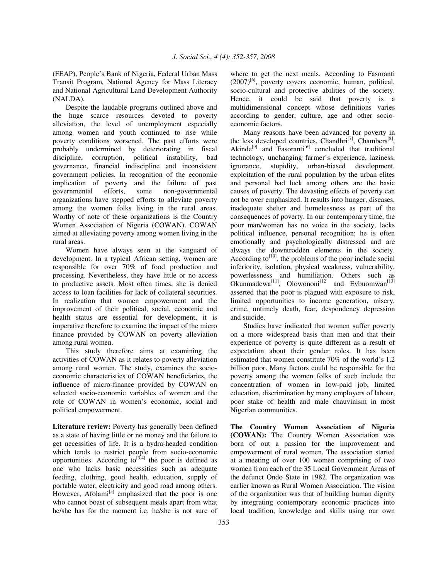(FEAP), People's Bank of Nigeria, Federal Urban Mass Transit Program, National Agency for Mass Literacy and National Agricultural Land Development Authority (NALDA).

Despite the laudable programs outlined above and the huge scarce resources devoted to poverty alleviation, the level of unemployment especially among women and youth continued to rise while poverty conditions worsened. The past efforts were probably undermined by deteriorating in fiscal discipline, corruption, political instability, bad governance, financial indiscipline and inconsistent government policies. In recognition of the economic implication of poverty and the failure of past governmental efforts, some non-governmental organizations have stepped efforts to alleviate poverty among the women folks living in the rural areas. Worthy of note of these organizations is the Country Women Association of Nigeria (COWAN). COWAN aimed at alleviating poverty among women living in the rural areas.

Women have always seen at the vanguard of development. In a typical African setting, women are responsible for over 70% of food production and processing. Nevertheless, they have little or no access to productive assets. Most often times, she is denied access to loan facilities for lack of collateral securities. In realization that women empowerment and the improvement of their political, social, economic and health status are essential for development, it is imperative therefore to examine the impact of the micro finance provided by COWAN on poverty alleviation among rural women.

This study therefore aims at examining the activities of COWAN as it relates to poverty alleviation among rural women. The study, examines the socioeconomic characteristics of COWAN beneficiaries, the influence of micro-finance provided by COWAN on selected socio-economic variables of women and the role of COWAN in women's economic, social and political empowerment.

**Literature review:** Poverty has generally been defined as a state of having little or no money and the failure to get necessities of life. It is a hydra-headed condition which tends to restrict people from socio-economic opportunities. According  $\text{to}^{[3,4]}$  the poor is defined as one who lacks basic necessities such as adequate feeding, clothing, good health, education, supply of portable water, electricity and good road among others. However, Afolami<sup>[5]</sup> emphasized that the poor is one who cannot boast of subsequent meals apart from what he/she has for the moment i.e. he/she is not sure of

where to get the next meals. According to Fasoranti (2007)<sup>[6]</sup>, poverty covers economic, human, political, socio-cultural and protective abilities of the society. Hence, it could be said that poverty is a multidimensional concept whose definitions varies according to gender, culture, age and other socioeconomic factors.

Many reasons have been advanced for poverty in the less developed countries. Chandhri<sup>[7]</sup>, Chambers<sup>[8]</sup>, Akinde<sup>[9]</sup> and Fasoranti<sup>[6]</sup> concluded that traditional technology, unchanging farmer's experience, laziness, ignorance, stupidity, urban-biased development, exploitation of the rural population by the urban elites and personal bad luck among others are the basic causes of poverty. The devasting effects of poverty can not be over emphasized. It results into hunger, diseases, inadequate shelter and homelessness as part of the consequences of poverty. In our contemporary time, the poor man/woman has no voice in the society, lacks political influence, personal recognition; he is often emotionally and psychologically distressed and are always the downtrodden elements in the society. According to<sup>[10]</sup>, the problems of the poor include social inferiority, isolation, physical weakness, vulnerability, powerlessness and humiliation. Others such as Okunmadewa<sup>[11]</sup>, Olowononi<sup>[12]</sup> and Evbuomwan<sup>[13]</sup> asserted that the poor is plagued with exposure to risk, limited opportunities to income generation, misery, crime, untimely death, fear, despondency depression and suicide.

Studies have indicated that women suffer poverty on a more widespread basis than men and that their experience of poverty is quite different as a result of expectation about their gender roles. It has been estimated that women constitute 70% of the world's 1.2 billion poor. Many factors could be responsible for the poverty among the women folks of such include the concentration of women in low-paid job, limited education, discrimination by many employers of labour, poor stake of health and male chauvinism in most Nigerian communities.

**The Country Women Association of Nigeria (COWAN):** The Country Women Association was born of out a passion for the improvement and empowerment of rural women. The association started at a meeting of over 100 women comprising of two women from each of the 35 Local Government Areas of the defunct Ondo State in 1982. The organization was earlier known as Rural Women Association. The vision of the organization was that of building human dignity by integrating contemporary economic practices into local tradition, knowledge and skills using our own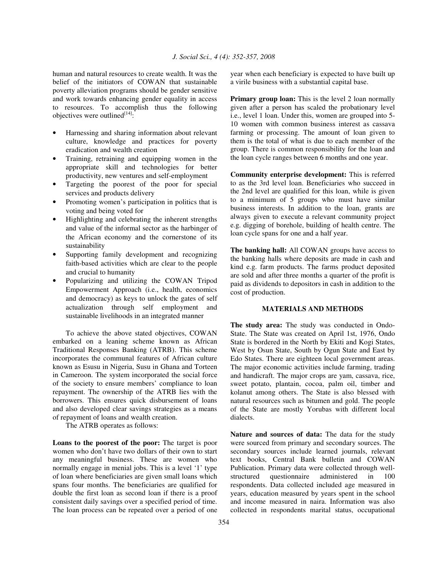human and natural resources to create wealth. It was the belief of the initiators of COWAN that sustainable poverty alleviation programs should be gender sensitive and work towards enhancing gender equality in access to resources. To accomplish thus the following objectives were outlined $[14]$ :

- Harnessing and sharing information about relevant culture, knowledge and practices for poverty eradication and wealth creation
- Training, retraining and equipping women in the appropriate skill and technologies for better productivity, new ventures and self-employment
- Targeting the poorest of the poor for special services and products delivery
- Promoting women's participation in politics that is voting and being voted for
- Highlighting and celebrating the inherent strengths and value of the informal sector as the harbinger of the African economy and the cornerstone of its sustainability
- Supporting family development and recognizing faith-based activities which are clear to the people and crucial to humanity
- Popularizing and utilizing the COWAN Tripod Empowerment Approach (i.e., health, economics and democracy) as keys to unlock the gates of self actualization through self employment and sustainable livelihoods in an integrated manner

To achieve the above stated objectives, COWAN embarked on a leaning scheme known as African Traditional Responses Banking (ATRB). This scheme incorporates the communal features of African culture known as Esusu in Nigeria, Susu in Ghana and Torteen in Cameroon. The system incorporated the social force of the society to ensure members' compliance to loan repayment. The ownership of the ATRB lies with the borrowers. This ensures quick disbursement of loans and also developed clear savings strategies as a means of repayment of loans and wealth creation.

The ATRB operates as follows:

**Loans to the poorest of the poor:** The target is poor women who don't have two dollars of their own to start any meaningful business. These are women who normally engage in menial jobs. This is a level '1' type of loan where beneficiaries are given small loans which spans four months. The beneficiaries are qualified for double the first loan as second loan if there is a proof consistent daily savings over a specified period of time. The loan process can be repeated over a period of one

year when each beneficiary is expected to have built up a virile business with a substantial capital base.

**Primary group loan:** This is the level 2 loan normally given after a person has scaled the probationary level i.e., level 1 loan. Under this, women are grouped into 5- 10 women with common business interest as cassava farming or processing. The amount of loan given to them is the total of what is due to each member of the group. There is common responsibility for the loan and the loan cycle ranges between 6 months and one year.

**Community enterprise development:** This is referred to as the 3rd level loan. Beneficiaries who succeed in the 2nd level are qualified for this loan, while is given to a minimum of 5 groups who must have similar business interests. In addition to the loan, grants are always given to execute a relevant community project e.g. digging of borehole, building of health centre. The loan cycle spans for one and a half year.

**The banking hall:** All COWAN groups have access to the banking halls where deposits are made in cash and kind e.g. farm products. The farms product deposited are sold and after three months a quarter of the profit is paid as dividends to depositors in cash in addition to the cost of production.

## **MATERIALS AND METHODS**

**The study area:** The study was conducted in Ondo-State. The State was created on April 1st, 1976, Ondo State is bordered in the North by Ekiti and Kogi States, West by Osun State, South by Ogun State and East by Edo States. There are eighteen local government areas. The major economic activities include farming, trading and handicraft. The major crops are yam, cassava, rice, sweet potato, plantain, cocoa, palm oil, timber and kolanut among others. The State is also blessed with natural resources such as bitumen and gold. The people of the State are mostly Yorubas with different local dialects.

**Nature and sources of data:** The data for the study were sourced from primary and secondary sources. The secondary sources include learned journals, relevant text books, Central Bank bulletin and COWAN Publication. Primary data were collected through wellstructured questionnaire administered in 100 respondents. Data collected included age measured in years, education measured by years spent in the school and income measured in naira. Information was also collected in respondents marital status, occupational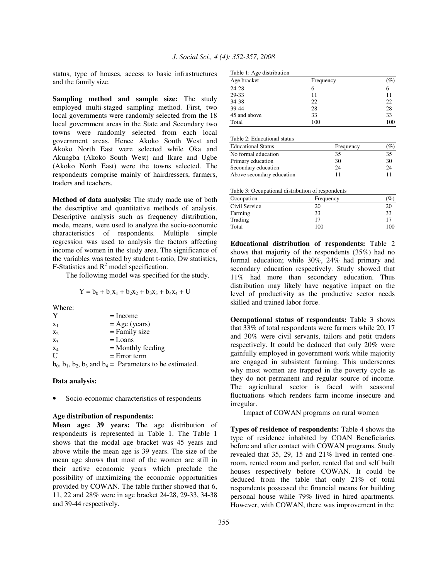status, type of houses, access to basic infrastructures and the family size.

**Sampling method and sample size:** The study employed multi-staged sampling method. First, two local governments were randomly selected from the 18 local government areas in the State and Secondary two towns were randomly selected from each local government areas. Hence Akoko South West and Akoko North East were selected while Oka and Akungba (Akoko South West) and Ikare and Ugbe (Akoko North East) were the towns selected. The respondents comprise mainly of hairdressers, farmers, traders and teachers.

**Method of data analysis:** The study made use of both the descriptive and quantitative methods of analysis. Descriptive analysis such as frequency distribution, mode, means, were used to analyze the socio-economic characteristics of respondents. Multiple simple regression was used to analysis the factors affecting income of women in the study area. The significance of the variables was tested by student t-ratio, Dw statistics, F-Statistics and  $R^2$  model specification.

The following model was specified for the study.

$$
Y = b_0 + b_1x_1 + b_2x_2 + b_3x_3 + b_4x_4 + U
$$

Where:

| Y              |  |  | $=$ Income                     |
|----------------|--|--|--------------------------------|
| $X_1$          |  |  | $=$ Age (years)                |
| X <sub>2</sub> |  |  | $=$ Family size                |
| $X_3$          |  |  | $=$ Loans                      |
| $X_4$          |  |  | $=$ Monthly feeding            |
| $\mathbf{U}$   |  |  | $=$ Error term                 |
|                |  |  | $1 \t1 \t1 \t1 \t11 \t n \t11$ |

 $b_0$ ,  $b_1$ ,  $b_2$ ,  $b_3$  and  $b_4$  = Parameters to be estimated.

## **Data analysis:**

Socio-economic characteristics of respondents

#### **Age distribution of respondents:**

**Mean age: 39 years:** The age distribution of respondents is represented in Table 1. The Table 1 shows that the modal age bracket was 45 years and above while the mean age is 39 years. The size of the mean age shows that most of the women are still in their active economic years which preclude the possibility of maximizing the economic opportunities provided by COWAN. The table further showed that 6, 11, 22 and 28% were in age bracket 24-28, 29-33, 34-38 and 39-44 respectively.

|  |  |  | Table 1: Age distribution |
|--|--|--|---------------------------|
|--|--|--|---------------------------|

| Age bracket  | Frequency | $\mathscr{G}_o$ |
|--------------|-----------|-----------------|
| 24-28        | n         |                 |
| 29-33        | 11        |                 |
| 34-38        | 22        | 22              |
| 39-44        | 28        | 28              |
| 45 and above | 33        | 33              |
| Total        | 100       | 100             |

Table 2: Educational status

| <b>Educational Status</b> | Frequency | $(\%)$ |
|---------------------------|-----------|--------|
| No formal education       | 35        | 35     |
| Primary education         | 30        | 30     |
| Secondary education       | 24        | 24     |
| Above secondary education | 11        |        |

Table 3: Occupational distribution of respondents

| Occupation    | Frequency | $\left( \% \right)$ |
|---------------|-----------|---------------------|
| Civil Service | 20        | 20                  |
| Farming       | 33        | 33                  |
| Trading       | 17        |                     |
| Total         | 100       | 100                 |

**Educational distribution of respondents:** Table 2 shows that majority of the respondents (35%) had no formal education; while 30%, 24% had primary and secondary education respectively. Study showed that 11% had more than secondary education. Thus distribution may likely have negative impact on the level of productivity as the productive sector needs skilled and trained labor force.

**Occupational status of respondents:** Table 3 shows that 33% of total respondents were farmers while 20, 17 and 30% were civil servants, tailors and petit traders respectively. It could be deduced that only 20% were gainfully employed in government work while majority are engaged in subsistent farming. This underscores why most women are trapped in the poverty cycle as they do not permanent and regular source of income. The agricultural sector is faced with seasonal fluctuations which renders farm income insecure and irregular.

Impact of COWAN programs on rural women

**Types of residence of respondents:** Table 4 shows the type of residence inhabited by COAN Beneficiaries before and after contact with COWAN programs. Study revealed that 35, 29, 15 and 21% lived in rented oneroom, rented room and parlor, rented flat and self built houses respectively before COWAN. It could be deduced from the table that only 21% of total respondents possessed the financial means for building personal house while 79% lived in hired apartments. However, with COWAN, there was improvement in the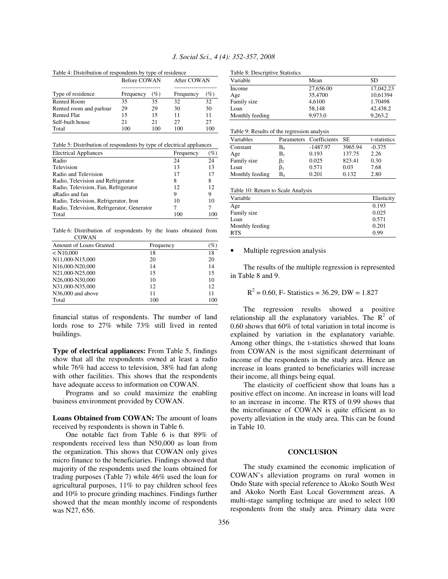|  | J. Social Sci., 4 (4): 352-357, 2008 |  |  |  |  |  |  |
|--|--------------------------------------|--|--|--|--|--|--|
|--|--------------------------------------|--|--|--|--|--|--|

Table 4: Distribution of respondents by type of residence

|                         | <b>Before COWAN</b> |     | After COWAN |      |
|-------------------------|---------------------|-----|-------------|------|
|                         |                     |     |             |      |
| Type of residence       | Frequency           | (%) | Frequency   | $\%$ |
| <b>Rented Room</b>      | 35                  | 35  | 32          | 32   |
| Rented room and parlour | 29                  | 29  | 30          | 30   |
| <b>Rented Flat</b>      | 15                  | 15  | 11          | 11   |
| Self-built house        | 21                  | 21  | 27          | 27   |
| Total                   | 100                 | 100 | 100         | 100  |

Table 5: Distribution of respondents by type of electrical appliances

| <b>Electrical Appliances</b>               | Frequency | $\%$ |
|--------------------------------------------|-----------|------|
| Radio                                      | 24        | 24   |
| Television                                 | 13        | 13   |
| Radio and Television                       | 17        | 17   |
| Radio, Television and Refrigerator         | 8         | 8    |
| Radio, Television, Fan, Refrigerator       | 12        | 12   |
| aRadio and fan                             | 9         | 9    |
| Radio, Television, Refrigerator, Iron      | 10        | 10   |
| Radio, Television, Refrigerator, Generator |           |      |
| Total                                      | 100       |      |

Table 6: Distribution of respondents by the loans obtained from **COWAN** 

| Amount of Loans Granted | Frequency | $\%$ |  |
|-------------------------|-----------|------|--|
| $<$ N10,000             | 18        | 18   |  |
| N11,000-N15,000         | 20        | 20   |  |
| N16,000-N20,000         | 14        | 14   |  |
| N21,000-N25,000         | 15        | 15   |  |
| N26,000-N30,000         | 10        | 10   |  |
| N31,000-N35,000         | 12        | 12   |  |
| N36,000 and above       | 11        | 11   |  |
| Total                   | 100       | 100  |  |

financial status of respondents. The number of land lords rose to 27% while 73% still lived in rented buildings.

**Type of electrical appliances:** From Table 5, findings show that all the respondents owned at least a radio while 76% had access to television, 38% had fan along with other facilities. This shows that the respondents have adequate access to information on COWAN.

Programs and so could maximize the enabling business environment provided by COWAN.

**Loans Obtained from COWAN:** The amount of loans received by respondents is shown in Table 6.

One notable fact from Table 6 is that 89% of respondents received less than N50,000 as loan from the organization. This shows that COWAN only gives micro finance to the beneficiaries. Findings showed that majority of the respondents used the loans obtained for trading purposes (Table 7) while 46% used the loan for agricultural purposes, 11% to pay children school fees and 10% to procure grinding machines. Findings further showed that the mean monthly income of respondents was N27, 656.

| Variable        | Mean      | SD.       |
|-----------------|-----------|-----------|
| Income          | 27,656.00 | 17,042.23 |
| Age             | 35,4700   | 10.61394  |
| Family size     | 4.6100    | 1.70498   |
| Loan            | 58.148    | 42,438.2  |
| Monthly feeding | 9.973.0   | 9.263.2   |

#### Table 9: Results of the regression analysis

| Variables       |             | Parameters Coefficients | - SE    | t-statistics |
|-----------------|-------------|-------------------------|---------|--------------|
| Constant        | $\rm B_{0}$ | $-1487.97$              | 3965.94 | $-0.375$     |
| Age             | $\rm B_{1}$ | 0.193                   | 137.75  | 2.26         |
| Family size     | $\beta_2$   | 0.025                   | 823.41  | 0.30         |
| Loan            | $\beta_3$   | 0.571                   | 0.03    | 7.68         |
| Monthly feeding | B4          | 0.201                   | 0.132   | 2.80         |

Table 10: Return to Scale Analysis

| Variable        | Elasticity |
|-----------------|------------|
| Age             | 0.193      |
| Family size     | 0.025      |
| Loan            | 0.571      |
| Monthly feeding | 0.201      |
| <b>RTS</b>      | 0.99       |

#### • Multiple regression analysis

The results of the multiple regression is represented in Table 8 and 9.

$$
R^2 = 0.60
$$
, F- Statistics = 36.29, DW = 1.827

The regression results showed a positive relationship all the explanatory variables. The  $\mathbb{R}^2$  of 0.60 shows that 60% of total variation in total income is explained by variation in the explanatory variable. Among other things, the t-statistics showed that loans from COWAN is the most significant determinant of income of the respondents in the study area. Hence an increase in loans granted to beneficiaries will increase their income, all things being equal.

The elasticity of coefficient show that loans has a positive effect on income. An increase in loans will lead to an increase in income. The RTS of 0.99 shows that the microfinance of COWAN is quite efficient as to poverty alleviation in the study area. This can be found in Table 10.

#### **CONCLUSION**

The study examined the economic implication of COWAN's alleviation programs on rural women in Ondo State with special reference to Akoko South West and Akoko North East Local Government areas. A multi-stage sampling technique are used to select 100 respondents from the study area. Primary data were